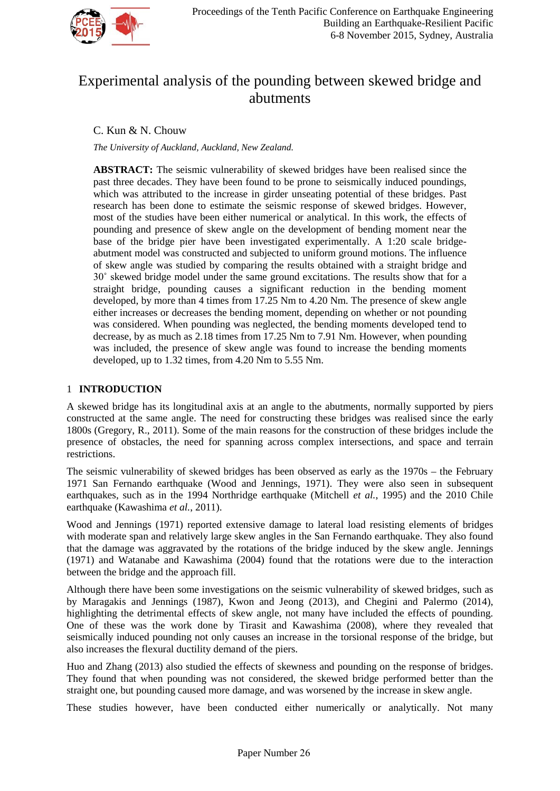

# Experimental analysis of the pounding between skewed bridge and abutments

# C. Kun & N. Chouw

*The University of Auckland, Auckland, New Zealand.* 

**ABSTRACT:** The seismic vulnerability of skewed bridges have been realised since the past three decades. They have been found to be prone to seismically induced poundings, which was attributed to the increase in girder unseating potential of these bridges. Past research has been done to estimate the seismic response of skewed bridges. However, most of the studies have been either numerical or analytical. In this work, the effects of pounding and presence of skew angle on the development of bending moment near the base of the bridge pier have been investigated experimentally. A 1:20 scale bridgeabutment model was constructed and subjected to uniform ground motions. The influence of skew angle was studied by comparing the results obtained with a straight bridge and 30˚ skewed bridge model under the same ground excitations. The results show that for a straight bridge, pounding causes a significant reduction in the bending moment developed, by more than 4 times from 17.25 Nm to 4.20 Nm. The presence of skew angle either increases or decreases the bending moment, depending on whether or not pounding was considered. When pounding was neglected, the bending moments developed tend to decrease, by as much as 2.18 times from 17.25 Nm to 7.91 Nm. However, when pounding was included, the presence of skew angle was found to increase the bending moments developed, up to 1.32 times, from 4.20 Nm to 5.55 Nm.

# 1 **INTRODUCTION**

A skewed bridge has its longitudinal axis at an angle to the abutments, normally supported by piers constructed at the same angle. The need for constructing these bridges was realised since the early 1800s (Gregory, R., 2011). Some of the main reasons for the construction of these bridges include the presence of obstacles, the need for spanning across complex intersections, and space and terrain restrictions.

The seismic vulnerability of skewed bridges has been observed as early as the 1970s – the February 1971 San Fernando earthquake (Wood and Jennings, 1971). They were also seen in subsequent earthquakes, such as in the 1994 Northridge earthquake (Mitchell *et al.*, 1995) and the 2010 Chile earthquake (Kawashima *et al.*, 2011).

Wood and Jennings (1971) reported extensive damage to lateral load resisting elements of bridges with moderate span and relatively large skew angles in the San Fernando earthquake. They also found that the damage was aggravated by the rotations of the bridge induced by the skew angle. Jennings (1971) and Watanabe and Kawashima (2004) found that the rotations were due to the interaction between the bridge and the approach fill.

Although there have been some investigations on the seismic vulnerability of skewed bridges, such as by Maragakis and Jennings (1987), Kwon and Jeong (2013), and Chegini and Palermo (2014), highlighting the detrimental effects of skew angle, not many have included the effects of pounding. One of these was the work done by Tirasit and Kawashima (2008), where they revealed that seismically induced pounding not only causes an increase in the torsional response of the bridge, but also increases the flexural ductility demand of the piers.

Huo and Zhang (2013) also studied the effects of skewness and pounding on the response of bridges. They found that when pounding was not considered, the skewed bridge performed better than the straight one, but pounding caused more damage, and was worsened by the increase in skew angle.

These studies however, have been conducted either numerically or analytically. Not many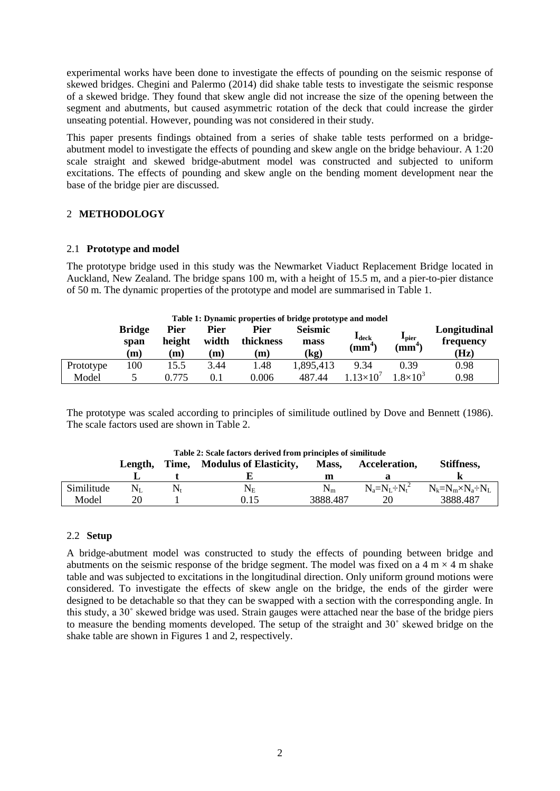experimental works have been done to investigate the effects of pounding on the seismic response of skewed bridges. Chegini and Palermo (2014) did shake table tests to investigate the seismic response of a skewed bridge. They found that skew angle did not increase the size of the opening between the segment and abutments, but caused asymmetric rotation of the deck that could increase the girder unseating potential. However, pounding was not considered in their study.

This paper presents findings obtained from a series of shake table tests performed on a bridgeabutment model to investigate the effects of pounding and skew angle on the bridge behaviour. A 1:20 scale straight and skewed bridge-abutment model was constructed and subjected to uniform excitations. The effects of pounding and skew angle on the bending moment development near the base of the bridge pier are discussed.

## 2 **METHODOLOGY**

## 2.1 **Prototype and model**

The prototype bridge used in this study was the Newmarket Viaduct Replacement Bridge located in Auckland, New Zealand. The bridge spans 100 m, with a height of 15.5 m, and a pier-to-pier distance of 50 m. The dynamic properties of the prototype and model are summarised in Table 1.

|           | Table 1: Dynamic properties of bridge prototype and model |                |               |                          |                        |                              |                            |                           |  |  |  |  |
|-----------|-----------------------------------------------------------|----------------|---------------|--------------------------|------------------------|------------------------------|----------------------------|---------------------------|--|--|--|--|
|           | <b>Bridge</b><br>span                                     | Pier<br>height | Pier<br>width | <b>Pier</b><br>thickness | <b>Seismic</b><br>mass | $\textbf{1}_{\textbf{deck}}$ | $\mathbf{I}_{\text{pier}}$ | Longitudinal<br>frequency |  |  |  |  |
|           | (m)                                                       | (m)            | $\mathbf{m}$  | (m)                      | (kg)                   | $\text{m}^4$                 | $\left(\text{mm}^4\right)$ | (Hz)                      |  |  |  |  |
| Prototype | 100                                                       | 15.5           | 3.44          | 1.48                     | 1,895,413              | 9.34                         | 0.39                       | 0.98                      |  |  |  |  |
| Model     |                                                           | 0.775          | 0.1           | 0.006                    | 487.44                 | $1.13\times10^{7}$           | $1.8\times10^{3}$          | 0.98                      |  |  |  |  |

The prototype was scaled according to principles of similitude outlined by Dove and Bennett (1986). The scale factors used are shown in Table 2.

| Table 2: Scale factors derived from principles of similitude |         |                                        |           |          |                 |                             |  |  |  |  |
|--------------------------------------------------------------|---------|----------------------------------------|-----------|----------|-----------------|-----------------------------|--|--|--|--|
|                                                              | Length. | <b>Modulus of Elasticity,</b><br>Time. |           | Mass.    | Acceleration.   | Stiffness,                  |  |  |  |  |
|                                                              |         |                                        |           | m        |                 |                             |  |  |  |  |
| Similitude                                                   | $N_{L}$ |                                        | $\rm N_E$ | $N_m$    | $N_a=N_I+N_t^2$ | $N_k=N_m\times N_a\div N_L$ |  |  |  |  |
| Model                                                        | 20      |                                        | 0.15      | 3888.487 | 20              | 3888.487                    |  |  |  |  |

### 2.2 **Setup**

A bridge-abutment model was constructed to study the effects of pounding between bridge and abutments on the seismic response of the bridge segment. The model was fixed on a  $4 \text{ m} \times 4 \text{ m}$  shake table and was subjected to excitations in the longitudinal direction. Only uniform ground motions were considered. To investigate the effects of skew angle on the bridge, the ends of the girder were designed to be detachable so that they can be swapped with a section with the corresponding angle. In this study, a 30˚ skewed bridge was used. Strain gauges were attached near the base of the bridge piers to measure the bending moments developed. The setup of the straight and 30˚ skewed bridge on the shake table are shown in Figures 1 and 2, respectively.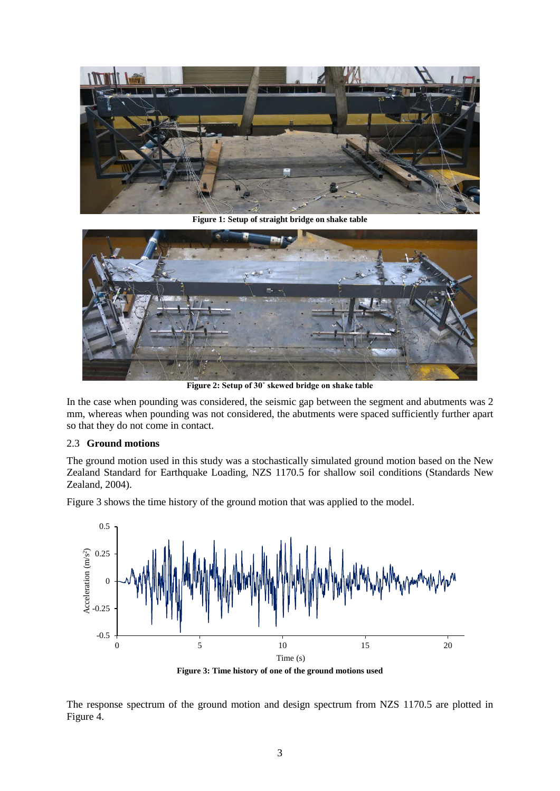

**Figure 1: Setup of straight bridge on shake table**



**Figure 2: Setup of 30˚ skewed bridge on shake table**

In the case when pounding was considered, the seismic gap between the segment and abutments was 2 mm, whereas when pounding was not considered, the abutments were spaced sufficiently further apart so that they do not come in contact.

### 2.3 **Ground motions**

The ground motion used in this study was a stochastically simulated ground motion based on the New Zealand Standard for Earthquake Loading, NZS 1170.5 for shallow soil conditions (Standards New Zealand, 2004).

Figure 3 shows the time history of the ground motion that was applied to the model.



**Figure 3: Time history of one of the ground motions used**

The response spectrum of the ground motion and design spectrum from NZS 1170.5 are plotted in Figure 4.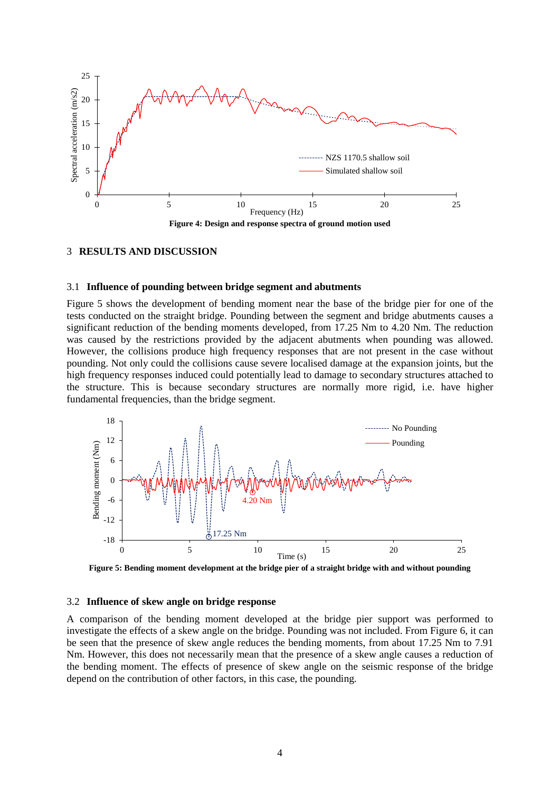

#### 3 **RESULTS AND DISCUSSION**

#### 3.1 **Influence of pounding between bridge segment and abutments**

Figure 5 shows the development of bending moment near the base of the bridge pier for one of the tests conducted on the straight bridge. Pounding between the segment and bridge abutments causes a significant reduction of the bending moments developed, from 17.25 Nm to 4.20 Nm. The reduction was caused by the restrictions provided by the adjacent abutments when pounding was allowed. However, the collisions produce high frequency responses that are not present in the case without pounding. Not only could the collisions cause severe localised damage at the expansion joints, but the high frequency responses induced could potentially lead to damage to secondary structures attached to the structure. This is because secondary structures are normally more rigid, i.e. have higher fundamental frequencies, than the bridge segment.



**Figure 5: Bending moment development at the bridge pier of a straight bridge with and without pounding** 

### 3.2 **Influence of skew angle on bridge response**

A comparison of the bending moment developed at the bridge pier support was performed to investigate the effects of a skew angle on the bridge. Pounding was not included. From Figure 6, it can be seen that the presence of skew angle reduces the bending moments, from about 17.25 Nm to 7.91 Nm. However, this does not necessarily mean that the presence of a skew angle causes a reduction of the bending moment. The effects of presence of skew angle on the seismic response of the bridge depend on the contribution of other factors, in this case, the pounding.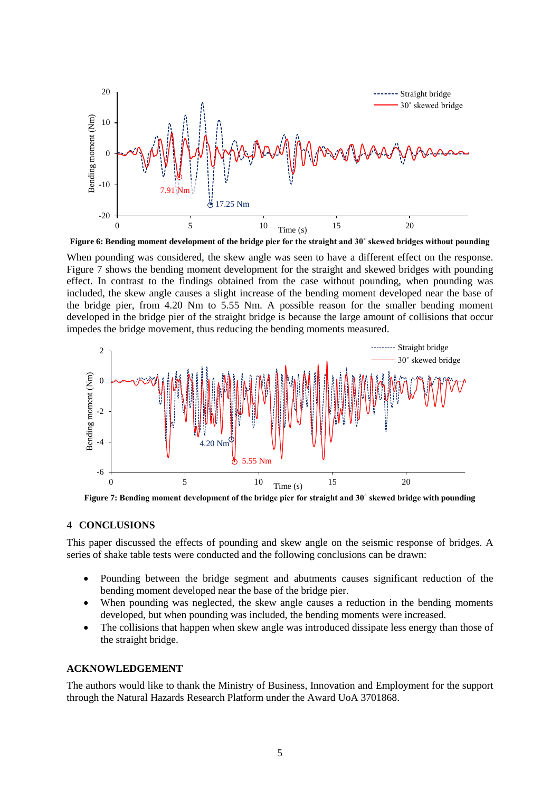

**Figure 6: Bending moment development of the bridge pier for the straight and 30˚ skewed bridges without pounding**

When pounding was considered, the skew angle was seen to have a different effect on the response. Figure 7 shows the bending moment development for the straight and skewed bridges with pounding effect. In contrast to the findings obtained from the case without pounding, when pounding was included, the skew angle causes a slight increase of the bending moment developed near the base of the bridge pier, from 4.20 Nm to 5.55 Nm. A possible reason for the smaller bending moment developed in the bridge pier of the straight bridge is because the large amount of collisions that occur impedes the bridge movement, thus reducing the bending moments measured.



**Figure 7: Bending moment development of the bridge pier for straight and 30˚ skewed bridge with pounding**

#### 4 **CONCLUSIONS**

This paper discussed the effects of pounding and skew angle on the seismic response of bridges. A series of shake table tests were conducted and the following conclusions can be drawn:

- Pounding between the bridge segment and abutments causes significant reduction of the bending moment developed near the base of the bridge pier.
- When pounding was neglected, the skew angle causes a reduction in the bending moments developed, but when pounding was included, the bending moments were increased.
- The collisions that happen when skew angle was introduced dissipate less energy than those of the straight bridge.

#### **ACKNOWLEDGEMENT**

The authors would like to thank the Ministry of Business, Innovation and Employment for the support through the Natural Hazards Research Platform under the Award UoA 3701868.